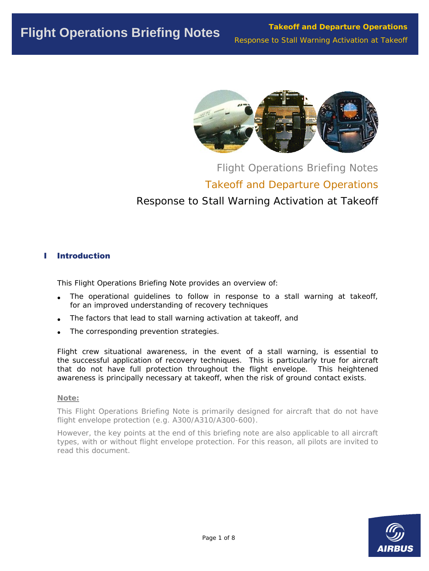

# Flight Operations Briefing Notes Takeoff and Departure Operations Response to Stall Warning Activation at Takeoff

# I Introduction

This Flight Operations Briefing Note provides an overview of:

- The operational quidelines to follow in response to a stall warning at takeoff, for an improved understanding of recovery techniques
- The factors that lead to stall warning activation at takeoff, and
- The corresponding prevention strategies.

Flight crew situational awareness, in the event of a stall warning, is essential to the successful application of recovery techniques. This is particularly true for aircraft that do not have full protection throughout the flight envelope. This heightened awareness is principally necessary at takeoff, when the risk of ground contact exists.

## *Note:*

*This Flight Operations Briefing Note is primarily designed for aircraft that do not have flight envelope protection (e.g. A300/A310/A300-600).* 

*However, the key points at the end of this briefing note are also applicable to all aircraft types, with or without flight envelope protection. For this reason, all pilots are invited to read this document.* 

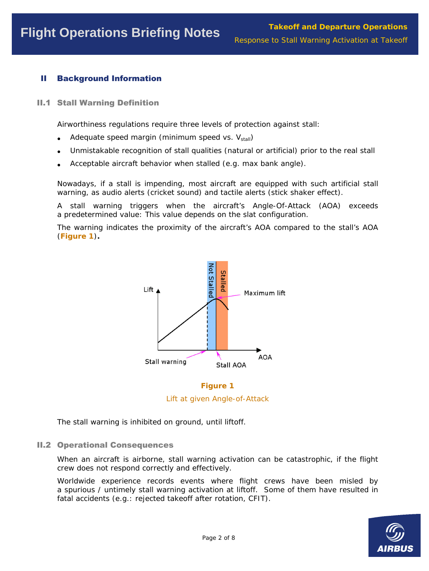# II Background Information

II.1 Stall Warning Definition

Airworthiness regulations require three levels of protection against stall:

- Adequate speed margin (minimum speed vs.  $V_{stall}$ )
- Unmistakable recognition of stall qualities (natural or artificial) prior to the real stall
- Acceptable aircraft behavior when stalled (e.g. max bank angle).

Nowadays, if a stall is impending, most aircraft are equipped with such artificial stall warning, as audio alerts (cricket sound) and tactile alerts (stick shaker effect).

A stall warning triggers when the aircraft's Angle-Of-Attack (AOA) exceeds a predetermined value: This value depends on the slat configuration.

The warning indicates the proximity of the aircraft's AOA compared to the stall's AOA (**Figure 1**)**.** 



**Figure 1** 

*Lift at given Angle-of-Attack* 

The stall warning is inhibited on ground, until liftoff.

## II.2 Operational Consequences

When an aircraft is airborne, stall warning activation can be catastrophic, if the flight crew does not respond correctly and effectively.

Worldwide experience records events where flight crews have been misled by a spurious / untimely stall warning activation at liftoff. Some of them have resulted in fatal accidents (e.g.: rejected takeoff after rotation, CFIT).

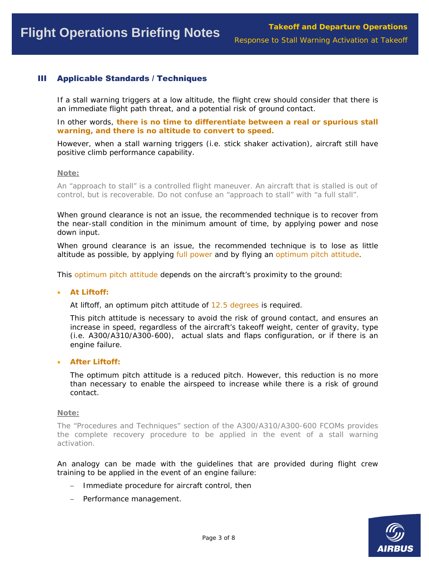# III Applicable Standards / Techniques

If a stall warning triggers at a low altitude, the flight crew should consider that there is an immediate flight path threat, and a potential risk of ground contact.

In other words, **there is no time to differentiate between a real or spurious stall warning, and there is no altitude to convert to speed.** 

However, when a stall warning triggers (i.e. stick shaker activation), aircraft still have positive climb performance capability.

#### *Note:*

*An "approach to stall" is a controlled flight maneuver. An aircraft that is stalled is out of control, but is recoverable. Do not confuse an "approach to stall" with "a full stall".* 

When ground clearance is not an issue, the recommended technique is to recover from the near-stall condition in the minimum amount of time, by applying power and nose down input.

When ground clearance is an issue, the recommended technique is to lose as little altitude as possible, by applying full power and by flying an optimum pitch attitude.

This optimum pitch attitude depends on the aircraft's proximity to the ground:

#### • **At Liftoff:**

At liftoff, an optimum pitch attitude of 12.5 degrees is required.

This pitch attitude is necessary to avoid the risk of ground contact, and ensures an increase in speed, regardless of the aircraft's takeoff weight, center of gravity, type (i.e. A300/A310/A300-600), actual slats and flaps configuration, or if there is an engine failure.

#### • **After Liftoff:**

The optimum pitch attitude is a reduced pitch. However, this reduction is no more than necessary to enable the airspeed to increase while there is a risk of ground contact.

#### *Note:*

*The "Procedures and Techniques" section of the A300/A310/A300-600 FCOMs provides the complete recovery procedure to be applied in the event of a stall warning activation.* 

An analogy can be made with the guidelines that are provided during flight crew training to be applied in the event of an engine failure:

- − Immediate procedure for aircraft control, then
- − Performance management.

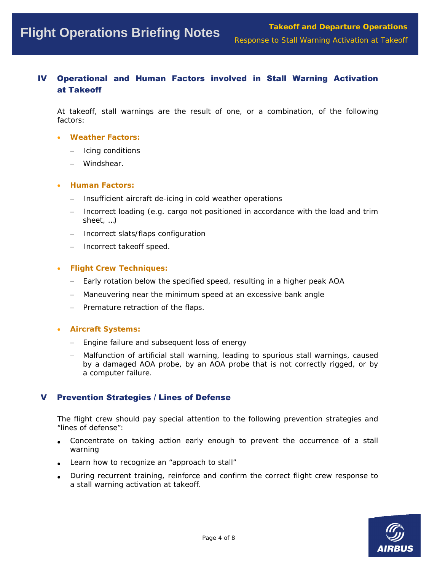# IV Operational and Human Factors involved in Stall Warning Activation at Takeoff

At takeoff, stall warnings are the result of one, or a combination, of the following factors:

#### • **Weather Factors:**

- − Icing conditions
- − Windshear.

#### • **Human Factors:**

- − Insufficient aircraft de-icing in cold weather operations
- − Incorrect loading (e.g. cargo not positioned in accordance with the load and trim sheet, …)
- − Incorrect slats/flaps configuration
- − Incorrect takeoff speed.

#### • **Flight Crew Techniques:**

- Early rotation below the specified speed, resulting in a higher peak AOA
- − Maneuvering near the minimum speed at an excessive bank angle
- − Premature retraction of the flaps.

## • **Aircraft Systems:**

- − Engine failure and subsequent loss of energy
- − Malfunction of artificial stall warning, leading to spurious stall warnings, caused by a damaged AOA probe, by an AOA probe that is not correctly rigged, or by a computer failure.

## **Prevention Strategies / Lines of Defense**

The flight crew should pay special attention to the following prevention strategies and "lines of defense":

- Concentrate on taking action early enough to prevent the occurrence of a stall warning
- Learn how to recognize an "approach to stall"
- During recurrent training, reinforce and confirm the correct flight crew response to a stall warning activation at takeoff.

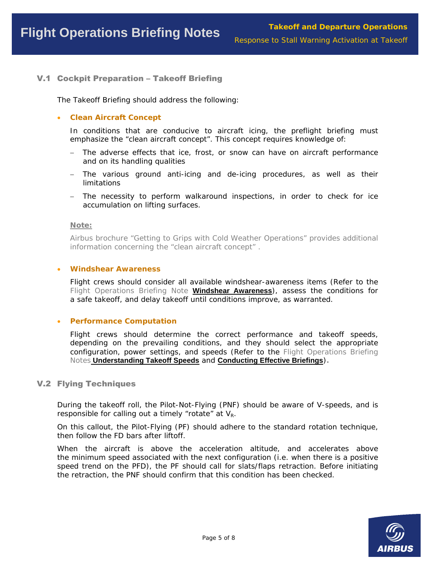## V.1 Cockpit Preparation – Takeoff Briefing

The Takeoff Briefing should address the following:

#### • **Clean Aircraft Concept**

In conditions that are conducive to aircraft icing, the preflight briefing must emphasize the "clean aircraft concept". This concept requires knowledge of:

- − The adverse effects that ice, frost, or snow can have on aircraft performance and on its handling qualities
- The various ground anti-icing and de-icing procedures, as well as their limitations
- − The necessity to perform walkaround inspections, in order to check for ice accumulation on lifting surfaces.

#### *Note:*

*Airbus brochure "Getting to Grips with Cold Weather Operations" provides additional information concerning the "clean aircraft concept" .* 

#### • **Windshear Awareness**

Flight crews should consider all available windshear-awareness items (Refer to the *Flight Operations Briefing Note* **Windshear Awareness**), assess the conditions for a safe takeoff, and delay takeoff until conditions improve, as warranted.

#### • **Performance Computation**

Flight crews should determine the correct performance and takeoff speeds, depending on the prevailing conditions, and they should select the appropriate configuration, power settings, and speeds (Refer to the *Flight Operations Briefing Notes* **Understanding Takeoff Speeds** and **Conducting Effective Briefings**)*.*

#### V.2 Flying Techniques

During the takeoff roll, the Pilot-Not-Flying (PNF) should be aware of V-speeds, and is responsible for calling out a timely "rotate" at  $V_{R}$ .

On this callout, the Pilot-Flying (PF) should adhere to the standard rotation technique, then follow the FD bars after liftoff.

When the aircraft is above the acceleration altitude, and accelerates above the minimum speed associated with the next configuration (i.e. when there is a positive speed trend on the PFD), the PF should call for slats/flaps retraction. Before initiating the retraction, the PNF should confirm that this condition has been checked.

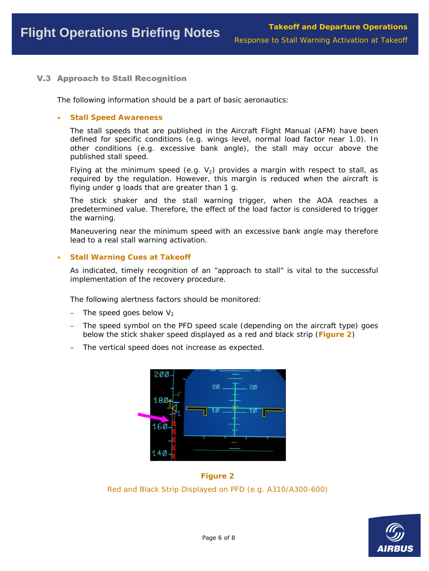# V.3 Approach to Stall Recognition

The following information should be a part of basic aeronautics:

#### • **Stall Speed Awareness**

The stall speeds that are published in the Aircraft Flight Manual (AFM) have been defined for specific conditions (e.g. wings level, normal load factor near 1.0). In other conditions (e.g. excessive bank angle), the stall may occur above the published stall speed.

Flying at the minimum speed (e.g.  $V_2$ ) provides a margin with respect to stall, as required by the regulation. However, this margin is reduced when the aircraft is flying under g loads that are greater than 1 g.

The stick shaker and the stall warning trigger, when the AOA reaches a predetermined value. Therefore, the effect of the load factor is considered to trigger the warning.

Maneuvering near the minimum speed with an excessive bank angle may therefore lead to a real stall warning activation.

## • **Stall Warning Cues at Takeoff**

As indicated, timely recognition of an "approach to stall" is vital to the successful implementation of the recovery procedure.

The following alertness factors should be monitored:

- The speed goes below  $V_2$
- The speed symbol on the PFD speed scale (depending on the aircraft type) goes below the stick shaker speed displayed as a red and black strip (**Figure 2**)
- − The vertical speed does not increase as expected.



**Figure 2**  *Red and Black Strip Displayed on PFD (e.g. A310/A300-600)* 

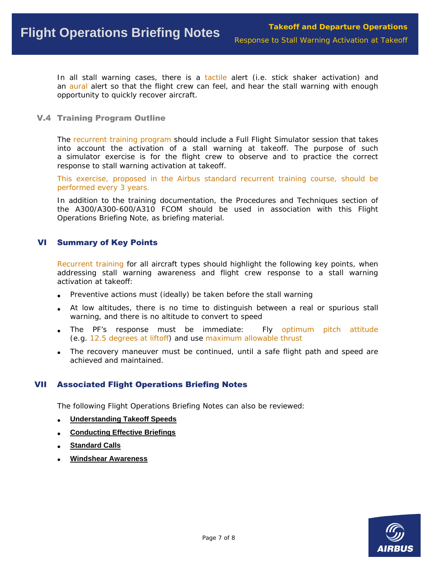In all stall warning cases, there is a tactile alert (i.e. stick shaker activation) and an aural alert so that the flight crew can feel, and hear the stall warning with enough opportunity to quickly recover aircraft.

#### V.4 Training Program Outline

The recurrent training program should include a Full Flight Simulator session that takes into account the activation of a stall warning at takeoff. The purpose of such a simulator exercise is for the flight crew to observe and to practice the correct response to stall warning activation at takeoff.

This exercise, proposed in the Airbus standard recurrent training course, should be performed every 3 years.

In addition to the training documentation, the Procedures and Techniques section of the A300/A300-600/A310 FCOM should be used in association with this Flight Operations Briefing Note, as briefing material.

## VI Summary of Key Points

Recurrent training for all aircraft types should highlight the following key points, when addressing stall warning awareness and flight crew response to a stall warning activation at takeoff:

- Preventive actions must (ideally) be taken before the stall warning
- At low altitudes, there is no time to distinguish between a real or spurious stall warning, and there is no altitude to convert to speed
- The PF's response must be immediate: Fly optimum pitch attitude (e.g. 12.5 degrees at liftoff) and use maximum allowable thrust
- The recovery maneuver must be continued, until a safe flight path and speed are achieved and maintained.

## VII Associated Flight Operations Briefing Notes

The following Flight Operations Briefing Notes can also be reviewed:

- **Understanding Takeoff Speeds**
- **Conducting Effective Briefings**
- **Standard Calls**
- **Windshear Awareness**